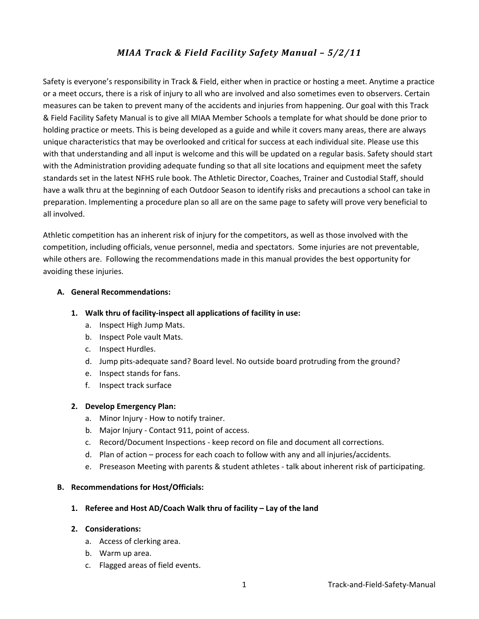# *MIAA Track & Field Facility Safety Manual – 5/2/11*

Safety is everyone's responsibility in Track & Field, either when in practice or hosting a meet. Anytime a practice or a meet occurs, there is a risk of injury to all who are involved and also sometimes even to observers. Certain measures can be taken to prevent many of the accidents and injuries from happening. Our goal with this Track & Field Facility Safety Manual is to give all MIAA Member Schools a template for what should be done prior to holding practice or meets. This is being developed as a guide and while it covers many areas, there are always unique characteristics that may be overlooked and critical for success at each individual site. Please use this with that understanding and all input is welcome and this will be updated on a regular basis. Safety should start with the Administration providing adequate funding so that all site locations and equipment meet the safety standards set in the latest NFHS rule book. The Athletic Director, Coaches, Trainer and Custodial Staff, should have a walk thru at the beginning of each Outdoor Season to identify risks and precautions a school can take in preparation. Implementing a procedure plan so all are on the same page to safety will prove very beneficial to all involved.

Athletic competition has an inherent risk of injury for the competitors, as well as those involved with the competition, including officials, venue personnel, media and spectators. Some injuries are not preventable, while others are. Following the recommendations made in this manual provides the best opportunity for avoiding these injuries.

## **A. General Recommendations:**

## **1. Walk thru of facility‐inspect all applications of facility in use:**

- a. Inspect High Jump Mats.
- b. Inspect Pole vault Mats.
- c. Inspect Hurdles.
- d. Jump pits-adequate sand? Board level. No outside board protruding from the ground?
- e. Inspect stands for fans.
- f. Inspect track surface

# **2. Develop Emergency Plan:**

- a. Minor Injury ‐ How to notify trainer.
- b. Major Injury ‐ Contact 911, point of access.
- c. Record/Document Inspections ‐ keep record on file and document all corrections.
- d. Plan of action process for each coach to follow with any and all injuries/accidents.
- e. Preseason Meeting with parents & student athletes ‐ talk about inherent risk of participating.

### **B. Recommendations for Host/Officials:**

### **1. Referee and Host AD/Coach Walk thru of facility – Lay of the land**

### **2. Considerations:**

- a. Access of clerking area.
- b. Warm up area.
- c. Flagged areas of field events.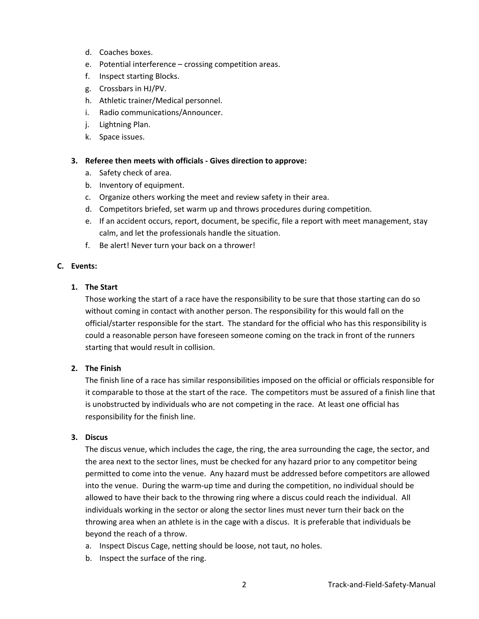- d. Coaches boxes.
- e. Potential interference crossing competition areas.
- f. Inspect starting Blocks.
- g. Crossbars in HJ/PV.
- h. Athletic trainer/Medical personnel.
- i. Radio communications/Announcer.
- j. Lightning Plan.
- k. Space issues.

### **3. Referee then meets with officials ‐ Gives direction to approve:**

- a. Safety check of area.
- b. Inventory of equipment.
- c. Organize others working the meet and review safety in their area.
- d. Competitors briefed, set warm up and throws procedures during competition.
- e. If an accident occurs, report, document, be specific, file a report with meet management, stay calm, and let the professionals handle the situation.
- f. Be alert! Never turn your back on a thrower!

### **C. Events:**

### **1. The Start**

Those working the start of a race have the responsibility to be sure that those starting can do so without coming in contact with another person. The responsibility for this would fall on the official/starter responsible for the start. The standard for the official who has this responsibility is could a reasonable person have foreseen someone coming on the track in front of the runners starting that would result in collision.

### **2. The Finish**

The finish line of a race has similar responsibilities imposed on the official or officials responsible for it comparable to those at the start of the race. The competitors must be assured of a finish line that is unobstructed by individuals who are not competing in the race. At least one official has responsibility for the finish line.

# **3. Discus**

The discus venue, which includes the cage, the ring, the area surrounding the cage, the sector, and the area next to the sector lines, must be checked for any hazard prior to any competitor being permitted to come into the venue. Any hazard must be addressed before competitors are allowed into the venue. During the warm‐up time and during the competition, no individual should be allowed to have their back to the throwing ring where a discus could reach the individual. All individuals working in the sector or along the sector lines must never turn their back on the throwing area when an athlete is in the cage with a discus. It is preferable that individuals be beyond the reach of a throw.

- a. Inspect Discus Cage, netting should be loose, not taut, no holes.
- b. Inspect the surface of the ring.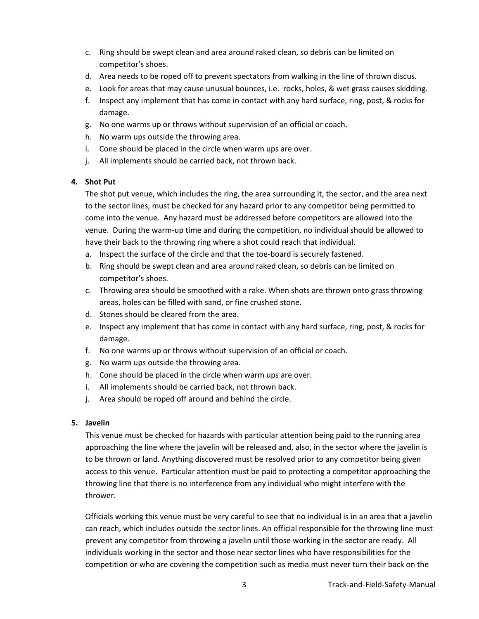- c. Ring should be swept clean and area around raked clean, so debris can be limited on competitor's shoes.
- d. Area needs to be roped off to prevent spectators from walking in the line of thrown discus.
- e. Look for areas that may cause unusual bounces, i.e. rocks, holes, & wet grass causes skidding.
- f. Inspect any implement that has come in contact with any hard surface, ring, post, & rocks for damage.
- g. No one warms up or throws without supervision of an official or coach.
- h. No warm ups outside the throwing area.
- i. Cone should be placed in the circle when warm ups are over.
- j. All implements should be carried back, not thrown back.

# **4. Shot Put**

The shot put venue, which includes the ring, the area surrounding it, the sector, and the area next to the sector lines, must be checked for any hazard prior to any competitor being permitted to come into the venue. Any hazard must be addressed before competitors are allowed into the venue. During the warm‐up time and during the competition, no individual should be allowed to have their back to the throwing ring where a shot could reach that individual.

- a. Inspect the surface of the circle and that the toe‐board is securely fastened.
- b. Ring should be swept clean and area around raked clean, so debris can be limited on competitor's shoes.
- c. Throwing area should be smoothed with a rake. When shots are thrown onto grass throwing areas, holes can be filled with sand, or fine crushed stone.
- d. Stones should be cleared from the area.
- e. Inspect any implement that has come in contact with any hard surface, ring, post, & rocks for damage.
- f. No one warms up or throws without supervision of an official or coach.
- g. No warm ups outside the throwing area.
- h. Cone should be placed in the circle when warm ups are over.
- i. All implements should be carried back, not thrown back.
- j. Area should be roped off around and behind the circle.

### **5. Javelin**

This venue must be checked for hazards with particular attention being paid to the running area approaching the line where the javelin will be released and, also, in the sector where the javelin is to be thrown or land. Anything discovered must be resolved prior to any competitor being given access to this venue. Particular attention must be paid to protecting a competitor approaching the throwing line that there is no interference from any individual who might interfere with the thrower.

Officials working this venue must be very careful to see that no individual is in an area that a javelin can reach, which includes outside the sector lines. An official responsible for the throwing line must prevent any competitor from throwing a javelin until those working in the sector are ready. All individuals working in the sector and those near sector lines who have responsibilities for the competition or who are covering the competition such as media must never turn their back on the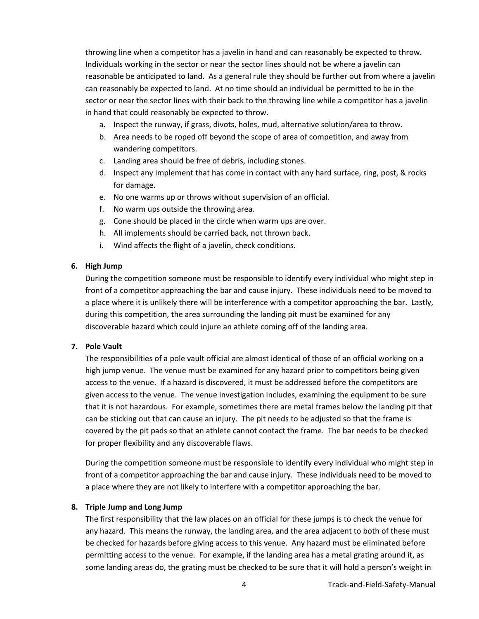throwing line when a competitor has a javelin in hand and can reasonably be expected to throw. Individuals working in the sector or near the sector lines should not be where a javelin can reasonable be anticipated to land. As a general rule they should be further out from where a javelin can reasonably be expected to land. At no time should an individual be permitted to be in the sector or near the sector lines with their back to the throwing line while a competitor has a javelin in hand that could reasonably be expected to throw.

- a. Inspect the runway, if grass, divots, holes, mud, alternative solution/area to throw.
- b. Area needs to be roped off beyond the scope of area of competition, and away from wandering competitors.
- c. Landing area should be free of debris, including stones.
- d. Inspect any implement that has come in contact with any hard surface, ring, post, & rocks for damage.
- e. No one warms up or throws without supervision of an official.
- f. No warm ups outside the throwing area.
- g. Cone should be placed in the circle when warm ups are over.
- h. All implements should be carried back, not thrown back.
- i. Wind affects the flight of a javelin, check conditions.

#### **6. High Jump**

During the competition someone must be responsible to identify every individual who might step in front of a competitor approaching the bar and cause injury. These individuals need to be moved to a place where it is unlikely there will be interference with a competitor approaching the bar. Lastly, during this competition, the area surrounding the landing pit must be examined for any discoverable hazard which could injure an athlete coming off of the landing area.

#### **7. Pole Vault**

The responsibilities of a pole vault official are almost identical of those of an official working on a high jump venue. The venue must be examined for any hazard prior to competitors being given access to the venue. If a hazard is discovered, it must be addressed before the competitors are given access to the venue. The venue investigation includes, examining the equipment to be sure that it is not hazardous. For example, sometimes there are metal frames below the landing pit that can be sticking out that can cause an injury. The pit needs to be adjusted so that the frame is covered by the pit pads so that an athlete cannot contact the frame. The bar needs to be checked for proper flexibility and any discoverable flaws.

During the competition someone must be responsible to identify every individual who might step in front of a competitor approaching the bar and cause injury. These individuals need to be moved to a place where they are not likely to interfere with a competitor approaching the bar.

#### **8. Triple Jump and Long Jump**

The first responsibility that the law places on an official for these jumps is to check the venue for any hazard. This means the runway, the landing area, and the area adjacent to both of these must be checked for hazards before giving access to this venue. Any hazard must be eliminated before permitting access to the venue. For example, if the landing area has a metal grating around it, as some landing areas do, the grating must be checked to be sure that it will hold a person's weight in